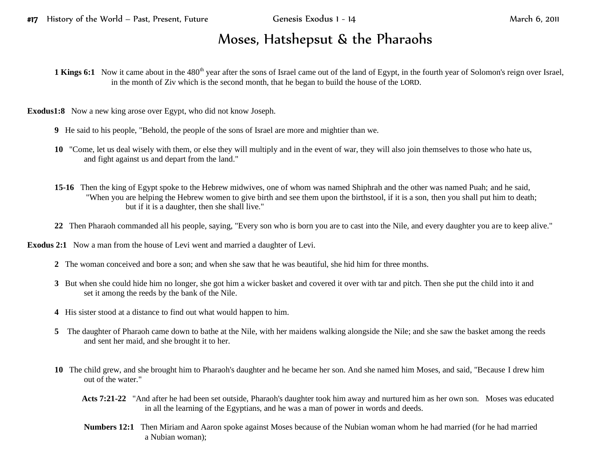## Moses, Hatshepsut & the Pharaohs

**1 Kings 6:1** Now it came about in the 480<sup>th</sup> year after the sons of Israel came out of the land of Egypt, in the fourth year of Solomon's reign over Israel, in the month of Ziv which is the second month, that he began to build the house of the LORD.

**Exodus1:8** Now a new king arose over Egypt, who did not know Joseph.

- **9** He said to his people, "Behold, the people of the sons of Israel are more and mightier than we.
- **10** "Come, let us deal wisely with them, or else they will multiply and in the event of war, they will also join themselves to those who hate us, and fight against us and depart from the land."
- **15-16** Then the king of Egypt spoke to the Hebrew midwives, one of whom was named Shiphrah and the other was named Puah; and he said, "When you are helping the Hebrew women to give birth and see them upon the birthstool, if it is a son, then you shall put him to death; but if it is a daughter, then she shall live."
- **22** Then Pharaoh commanded all his people, saying, "Every son who is born you are to cast into the Nile, and every daughter you are to keep alive."

**Exodus 2:1** Now a man from the house of Levi went and married a daughter of Levi.

- **2** The woman conceived and bore a son; and when she saw that he was beautiful, she hid him for three months.
- **3** But when she could hide him no longer, she got him a wicker basket and covered it over with tar and pitch. Then she put the child into it and set it among the reeds by the bank of the Nile.
- **4** His sister stood at a distance to find out what would happen to him.
- **5** The daughter of Pharaoh came down to bathe at the Nile, with her maidens walking alongside the Nile; and she saw the basket among the reeds and sent her maid, and she brought it to her.
- **10** The child grew, and she brought him to Pharaoh's daughter and he became her son. And she named him Moses, and said, "Because I drew him out of the water."
	- **Acts 7:21-22** "And after he had been set outside, Pharaoh's daughter took him away and nurtured him as her own son. Moses was educated in all the learning of the Egyptians, and he was a man of power in words and deeds.
	- **Numbers 12:1** Then Miriam and Aaron spoke against Moses because of the Nubian woman whom he had married (for he had married a Nubian woman);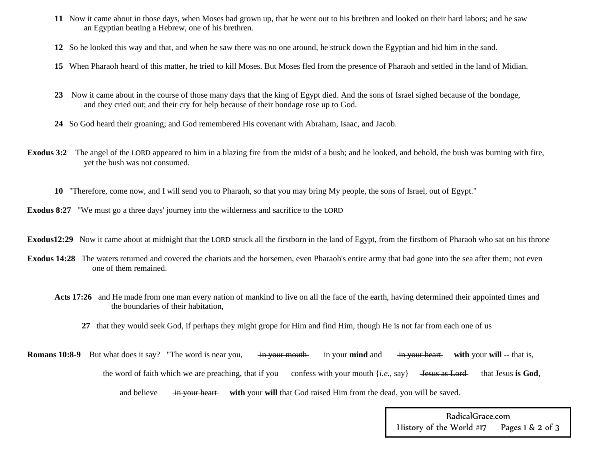- **11** Now it came about in those days, when Moses had grown up, that he went out to his brethren and looked on their hard labors; and he saw an Egyptian beating a Hebrew, one of his brethren.
- **12** So he looked this way and that, and when he saw there was no one around, he struck down the Egyptian and hid him in the sand.
- **15** When Pharaoh heard of this matter, he tried to kill Moses. But Moses fled from the presence of Pharaoh and settled in the land of Midian.
- **23** Now it came about in the course of those many days that the king of Egypt died. And the sons of Israel sighed because of the bondage, and they cried out; and their cry for help because of their bondage rose up to God.
- **24** So God heard their groaning; and God remembered His covenant with Abraham, Isaac, and Jacob.
- **Exodus 3:2** The angel of the LORD appeared to him in a blazing fire from the midst of a bush; and he looked, and behold, the bush was burning with fire, yet the bush was not consumed.
	- **10** "Therefore, come now, and I will send you to Pharaoh, so that you may bring My people, the sons of Israel, out of Egypt."
- **Exodus 8:27** "We must go a three days' journey into the wilderness and sacrifice to the LORD
- **Exodus12:29** Now it came about at midnight that the LORD struck all the firstborn in the land of Egypt, from the firstborn of Pharaoh who sat on his throne
- **Exodus 14:28** The waters returned and covered the chariots and the horsemen, even Pharaoh's entire army that had gone into the sea after them; not even one of them remained.
	- Acts 17:26 and He made from one man every nation of mankind to live on all the face of the earth, having determined their appointed times and the boundaries of their habitation,
		- **27** that they would seek God, if perhaps they might grope for Him and find Him, though He is not far from each one of us
- **Romans 10:8-9** But what does it say? "The word is near you, in your mouth in your mind and in your heart with your will -- that is, the word of faith which we are preaching, that if you confess with your mouth {*i.e.*, say} <del>Jesus as Lord</del> that Jesus is God, and believe in your heart with your will that God raised Him from the dead, you will be saved.